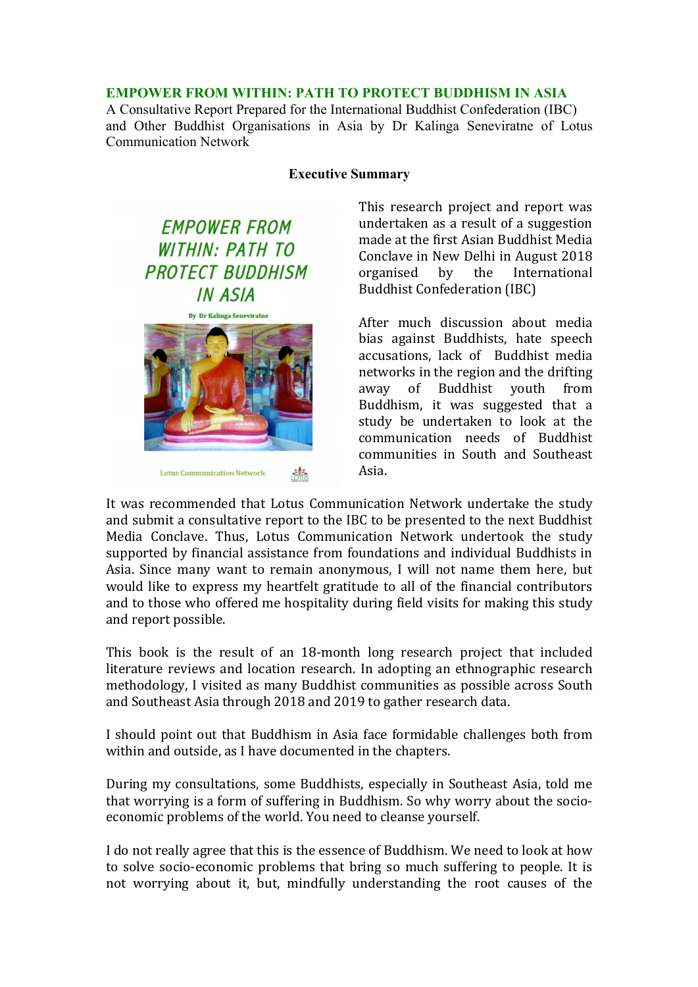#### **EMPOWER FROM WITHIN: PATH TO PROTECT BUDDHISM IN ASIA**

A Consultative Report Prepared for the International Buddhist Confederation (IBC) and Other Buddhist Organisations in Asia by Dr Kalinga Seneviratne of Lotus Communication Network

#### **Executive Summary**

**EMPOWER FROM WITHIN: PATH TO PROTECT BUDDHISM IN ASIA** 



This research project and report was undertaken as a result of a suggestion made at the first Asian Buddhist Media Conclave in New Delhi in August 2018 organised by the International Buddhist Confederation (IBC)

After much discussion about media bias against Buddhists, hate speech accusations, lack of Buddhist media networks in the region and the drifting away of Buddhist youth from Buddhism, it was suggested that a study be undertaken to look at the communication needs of Buddhist communities in South and Southeast Asia. 

It was recommended that Lotus Communication Network undertake the study and submit a consultative report to the IBC to be presented to the next Buddhist Media Conclave. Thus, Lotus Communication Network undertook the study supported by financial assistance from foundations and individual Buddhists in Asia. Since many want to remain anonymous, I will not name them here, but would like to express my heartfelt gratitude to all of the financial contributors and to those who offered me hospitality during field visits for making this study and report possible.

This book is the result of an 18-month long research project that included literature reviews and location research. In adopting an ethnographic research methodology, I visited as many Buddhist communities as possible across South and Southeast Asia through 2018 and 2019 to gather research data.

I should point out that Buddhism in Asia face formidable challenges both from within and outside, as I have documented in the chapters.

During my consultations, some Buddhists, especially in Southeast Asia, told me that worrying is a form of suffering in Buddhism. So why worry about the socioeconomic problems of the world. You need to cleanse yourself.

I do not really agree that this is the essence of Buddhism. We need to look at how to solve socio-economic problems that bring so much suffering to people. It is not worrying about it, but, mindfully understanding the root causes of the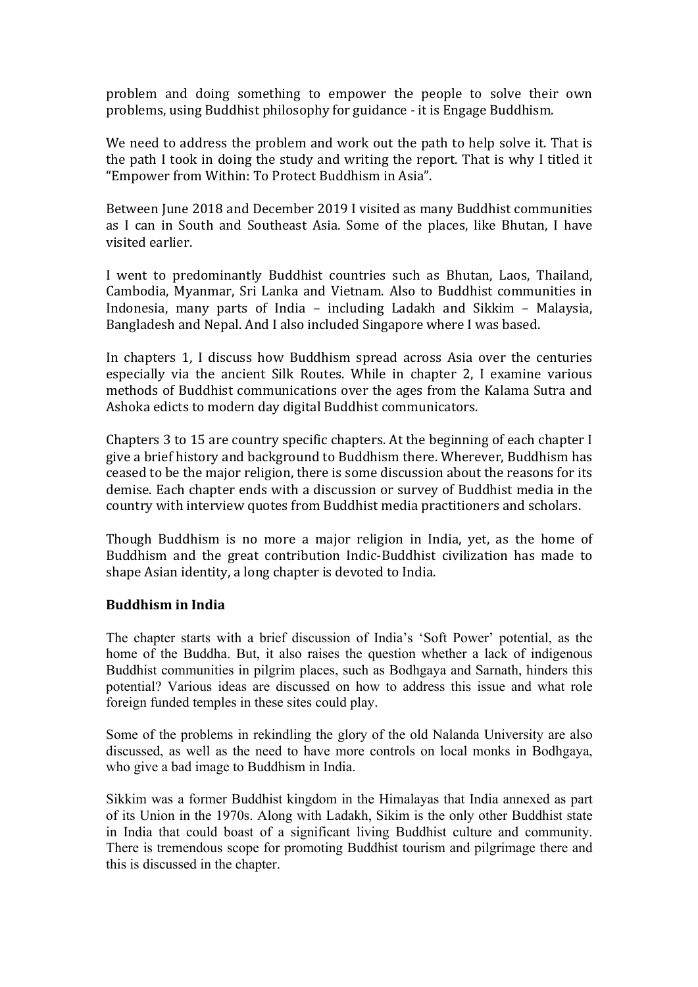problem and doing something to empower the people to solve their own problems, using Buddhist philosophy for guidance - it is Engage Buddhism.

We need to address the problem and work out the path to help solve it. That is the path I took in doing the study and writing the report. That is why I titled it "Empower from Within: To Protect Buddhism in Asia".

Between June 2018 and December 2019 I visited as many Buddhist communities as I can in South and Southeast Asia. Some of the places, like Bhutan, I have visited earlier. 

I went to predominantly Buddhist countries such as Bhutan, Laos, Thailand, Cambodia, Myanmar, Sri Lanka and Vietnam. Also to Buddhist communities in Indonesia, many parts of India - including Ladakh and Sikkim - Malaysia, Bangladesh and Nepal. And I also included Singapore where I was based.

In chapters 1, I discuss how Buddhism spread across Asia over the centuries especially via the ancient Silk Routes. While in chapter 2, I examine various methods of Buddhist communications over the ages from the Kalama Sutra and Ashoka edicts to modern day digital Buddhist communicators.

Chapters 3 to 15 are country specific chapters. At the beginning of each chapter I give a brief history and background to Buddhism there. Wherever, Buddhism has ceased to be the major religion, there is some discussion about the reasons for its demise. Each chapter ends with a discussion or survey of Buddhist media in the country with interview quotes from Buddhist media practitioners and scholars.

Though Buddhism is no more a major religion in India, yet, as the home of Buddhism and the great contribution Indic-Buddhist civilization has made to shape Asian identity, a long chapter is devoted to India.

# **Buddhism in India**

The chapter starts with a brief discussion of India's 'Soft Power' potential, as the home of the Buddha. But, it also raises the question whether a lack of indigenous Buddhist communities in pilgrim places, such as Bodhgaya and Sarnath, hinders this potential? Various ideas are discussed on how to address this issue and what role foreign funded temples in these sites could play.

Some of the problems in rekindling the glory of the old Nalanda University are also discussed, as well as the need to have more controls on local monks in Bodhgaya, who give a bad image to Buddhism in India.

Sikkim was a former Buddhist kingdom in the Himalayas that India annexed as part of its Union in the 1970s. Along with Ladakh, Sikim is the only other Buddhist state in India that could boast of a significant living Buddhist culture and community. There is tremendous scope for promoting Buddhist tourism and pilgrimage there and this is discussed in the chapter.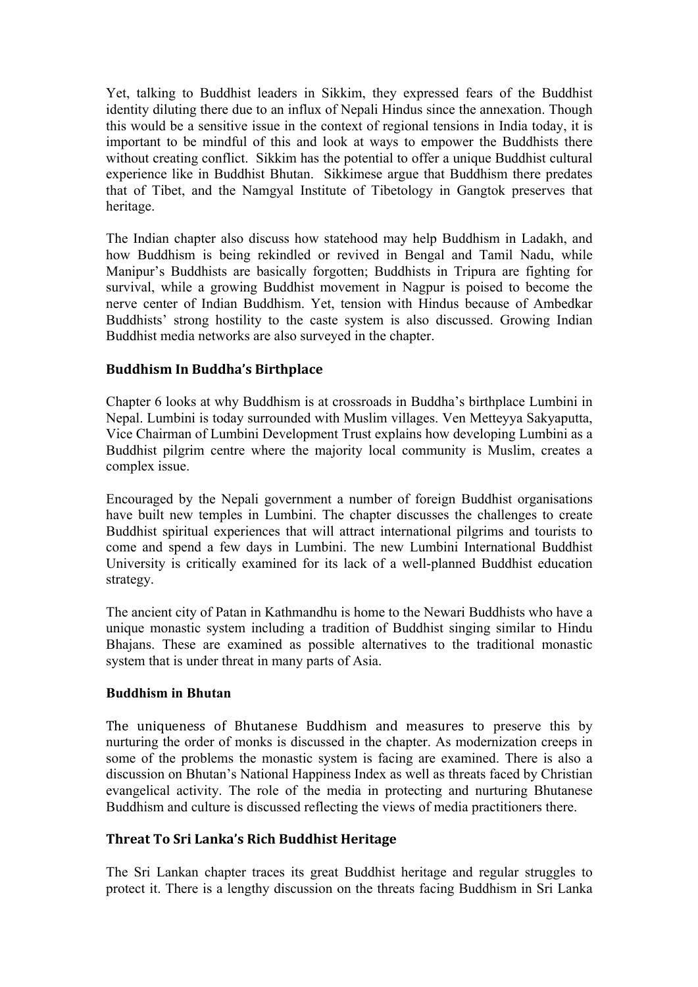Yet, talking to Buddhist leaders in Sikkim, they expressed fears of the Buddhist identity diluting there due to an influx of Nepali Hindus since the annexation. Though this would be a sensitive issue in the context of regional tensions in India today, it is important to be mindful of this and look at ways to empower the Buddhists there without creating conflict. Sikkim has the potential to offer a unique Buddhist cultural experience like in Buddhist Bhutan. Sikkimese argue that Buddhism there predates that of Tibet, and the Namgyal Institute of Tibetology in Gangtok preserves that heritage.

The Indian chapter also discuss how statehood may help Buddhism in Ladakh, and how Buddhism is being rekindled or revived in Bengal and Tamil Nadu, while Manipur's Buddhists are basically forgotten; Buddhists in Tripura are fighting for survival, while a growing Buddhist movement in Nagpur is poised to become the nerve center of Indian Buddhism. Yet, tension with Hindus because of Ambedkar Buddhists' strong hostility to the caste system is also discussed. Growing Indian Buddhist media networks are also surveyed in the chapter.

# **Buddhism In Buddha's Birthplace**

Chapter 6 looks at why Buddhism is at crossroads in Buddha's birthplace Lumbini in Nepal. Lumbini is today surrounded with Muslim villages. Ven Metteyya Sakyaputta, Vice Chairman of Lumbini Development Trust explains how developing Lumbini as a Buddhist pilgrim centre where the majority local community is Muslim, creates a complex issue.

Encouraged by the Nepali government a number of foreign Buddhist organisations have built new temples in Lumbini. The chapter discusses the challenges to create Buddhist spiritual experiences that will attract international pilgrims and tourists to come and spend a few days in Lumbini. The new Lumbini International Buddhist University is critically examined for its lack of a well-planned Buddhist education strategy.

The ancient city of Patan in Kathmandhu is home to the Newari Buddhists who have a unique monastic system including a tradition of Buddhist singing similar to Hindu Bhajans. These are examined as possible alternatives to the traditional monastic system that is under threat in many parts of Asia.

# **Buddhism in Bhutan**

The uniqueness of Bhutanese Buddhism and measures to preserve this by nurturing the order of monks is discussed in the chapter. As modernization creeps in some of the problems the monastic system is facing are examined. There is also a discussion on Bhutan's National Happiness Index as well as threats faced by Christian evangelical activity. The role of the media in protecting and nurturing Bhutanese Buddhism and culture is discussed reflecting the views of media practitioners there.

# **Threat To Sri Lanka's Rich Buddhist Heritage**

The Sri Lankan chapter traces its great Buddhist heritage and regular struggles to protect it. There is a lengthy discussion on the threats facing Buddhism in Sri Lanka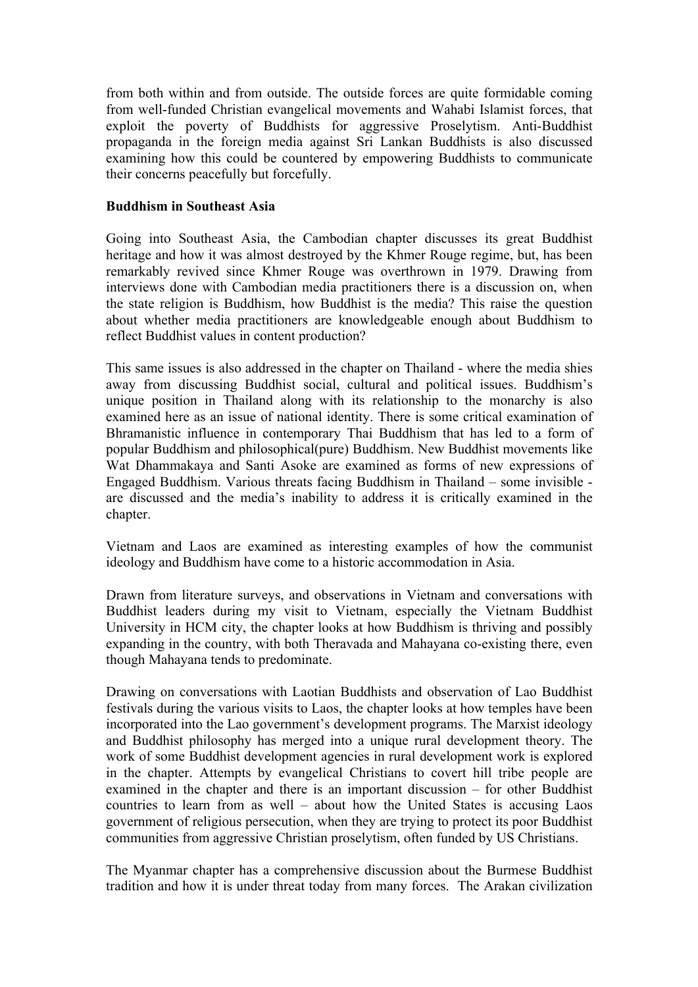from both within and from outside. The outside forces are quite formidable coming from well-funded Christian evangelical movements and Wahabi Islamist forces, that exploit the poverty of Buddhists for aggressive Proselytism. Anti-Buddhist propaganda in the foreign media against Sri Lankan Buddhists is also discussed examining how this could be countered by empowering Buddhists to communicate their concerns peacefully but forcefully.

#### **Buddhism in Southeast Asia**

Going into Southeast Asia, the Cambodian chapter discusses its great Buddhist heritage and how it was almost destroyed by the Khmer Rouge regime, but, has been remarkably revived since Khmer Rouge was overthrown in 1979. Drawing from interviews done with Cambodian media practitioners there is a discussion on, when the state religion is Buddhism, how Buddhist is the media? This raise the question about whether media practitioners are knowledgeable enough about Buddhism to reflect Buddhist values in content production?

This same issues is also addressed in the chapter on Thailand - where the media shies away from discussing Buddhist social, cultural and political issues. Buddhism's unique position in Thailand along with its relationship to the monarchy is also examined here as an issue of national identity. There is some critical examination of Bhramanistic influence in contemporary Thai Buddhism that has led to a form of popular Buddhism and philosophical(pure) Buddhism. New Buddhist movements like Wat Dhammakaya and Santi Asoke are examined as forms of new expressions of Engaged Buddhism. Various threats facing Buddhism in Thailand – some invisible are discussed and the media's inability to address it is critically examined in the chapter.

Vietnam and Laos are examined as interesting examples of how the communist ideology and Buddhism have come to a historic accommodation in Asia.

Drawn from literature surveys, and observations in Vietnam and conversations with Buddhist leaders during my visit to Vietnam, especially the Vietnam Buddhist University in HCM city, the chapter looks at how Buddhism is thriving and possibly expanding in the country, with both Theravada and Mahayana co-existing there, even though Mahayana tends to predominate.

Drawing on conversations with Laotian Buddhists and observation of Lao Buddhist festivals during the various visits to Laos, the chapter looks at how temples have been incorporated into the Lao government's development programs. The Marxist ideology and Buddhist philosophy has merged into a unique rural development theory. The work of some Buddhist development agencies in rural development work is explored in the chapter. Attempts by evangelical Christians to covert hill tribe people are examined in the chapter and there is an important discussion – for other Buddhist countries to learn from as well – about how the United States is accusing Laos government of religious persecution, when they are trying to protect its poor Buddhist communities from aggressive Christian proselytism, often funded by US Christians.

The Myanmar chapter has a comprehensive discussion about the Burmese Buddhist tradition and how it is under threat today from many forces. The Arakan civilization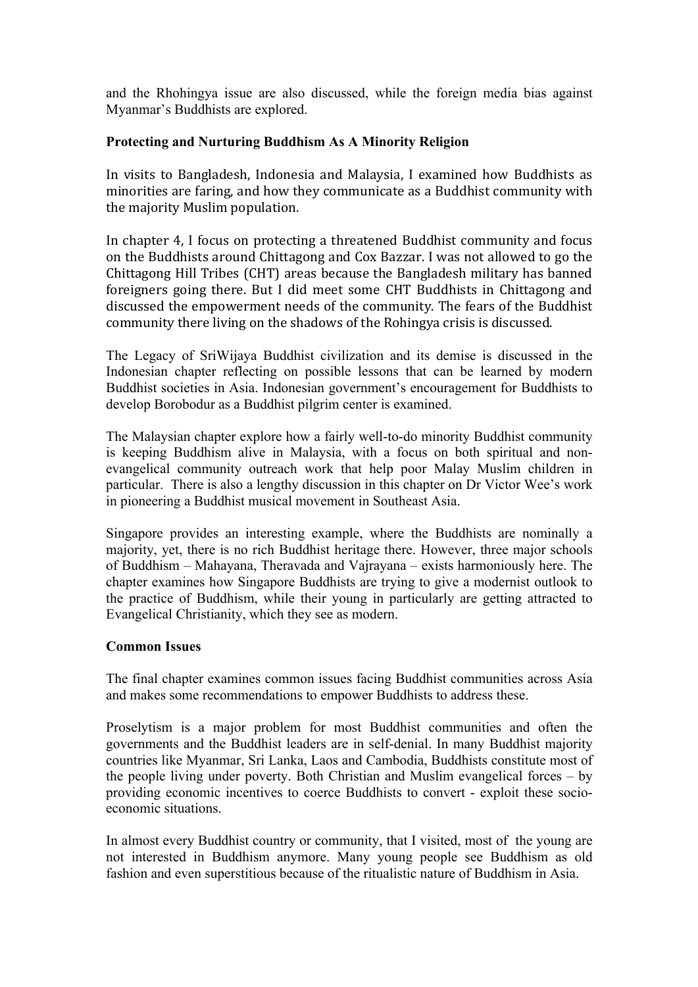and the Rhohingya issue are also discussed, while the foreign media bias against Myanmar's Buddhists are explored.

#### **Protecting and Nurturing Buddhism As A Minority Religion**

In visits to Bangladesh, Indonesia and Malaysia, I examined how Buddhists as minorities are faring, and how they communicate as a Buddhist community with the majority Muslim population.

In chapter 4, I focus on protecting a threatened Buddhist community and focus on the Buddhists around Chittagong and Cox Bazzar. I was not allowed to go the Chittagong Hill Tribes (CHT) areas because the Bangladesh military has banned foreigners going there. But I did meet some CHT Buddhists in Chittagong and discussed the empowerment needs of the community. The fears of the Buddhist community there living on the shadows of the Rohingya crisis is discussed.

The Legacy of SriWijaya Buddhist civilization and its demise is discussed in the Indonesian chapter reflecting on possible lessons that can be learned by modern Buddhist societies in Asia. Indonesian government's encouragement for Buddhists to develop Borobodur as a Buddhist pilgrim center is examined.

The Malaysian chapter explore how a fairly well-to-do minority Buddhist community is keeping Buddhism alive in Malaysia, with a focus on both spiritual and nonevangelical community outreach work that help poor Malay Muslim children in particular. There is also a lengthy discussion in this chapter on Dr Victor Wee's work in pioneering a Buddhist musical movement in Southeast Asia.

Singapore provides an interesting example, where the Buddhists are nominally a majority, yet, there is no rich Buddhist heritage there. However, three major schools of Buddhism – Mahayana, Theravada and Vajrayana – exists harmoniously here. The chapter examines how Singapore Buddhists are trying to give a modernist outlook to the practice of Buddhism, while their young in particularly are getting attracted to Evangelical Christianity, which they see as modern.

# **Common Issues**

The final chapter examines common issues facing Buddhist communities across Asia and makes some recommendations to empower Buddhists to address these.

Proselytism is a major problem for most Buddhist communities and often the governments and the Buddhist leaders are in self-denial. In many Buddhist majority countries like Myanmar, Sri Lanka, Laos and Cambodia, Buddhists constitute most of the people living under poverty. Both Christian and Muslim evangelical forces – by providing economic incentives to coerce Buddhists to convert - exploit these socioeconomic situations.

In almost every Buddhist country or community, that I visited, most of the young are not interested in Buddhism anymore. Many young people see Buddhism as old fashion and even superstitious because of the ritualistic nature of Buddhism in Asia.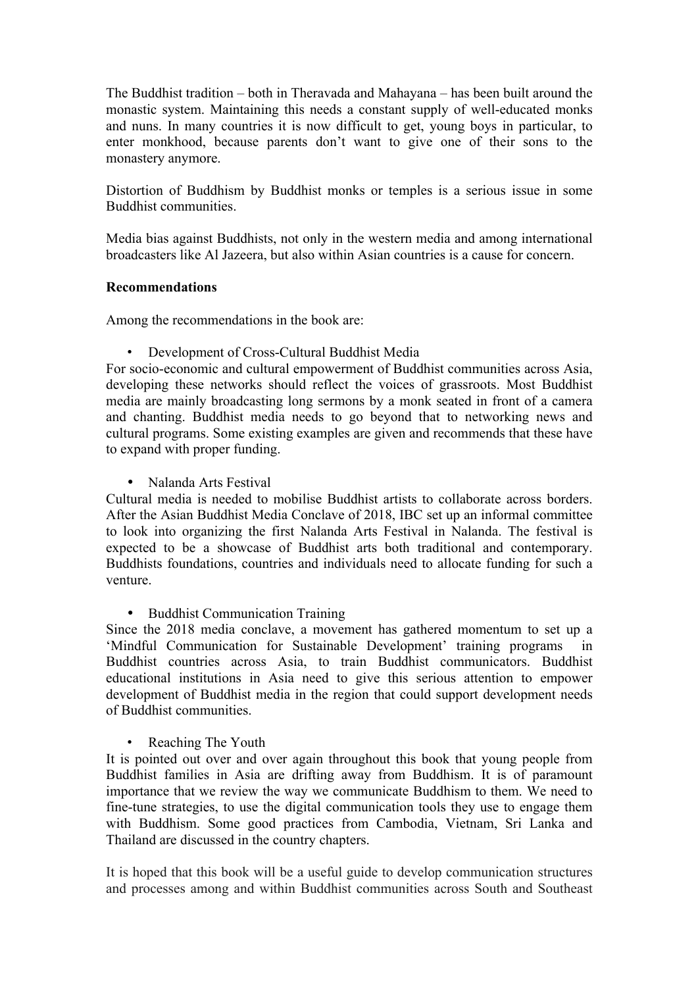The Buddhist tradition – both in Theravada and Mahayana – has been built around the monastic system. Maintaining this needs a constant supply of well-educated monks and nuns. In many countries it is now difficult to get, young boys in particular, to enter monkhood, because parents don't want to give one of their sons to the monastery anymore.

Distortion of Buddhism by Buddhist monks or temples is a serious issue in some Buddhist communities.

Media bias against Buddhists, not only in the western media and among international broadcasters like Al Jazeera, but also within Asian countries is a cause for concern.

#### **Recommendations**

Among the recommendations in the book are:

• Development of Cross-Cultural Buddhist Media

For socio-economic and cultural empowerment of Buddhist communities across Asia, developing these networks should reflect the voices of grassroots. Most Buddhist media are mainly broadcasting long sermons by a monk seated in front of a camera and chanting. Buddhist media needs to go beyond that to networking news and cultural programs. Some existing examples are given and recommends that these have to expand with proper funding.

• Nalanda Arts Festival

Cultural media is needed to mobilise Buddhist artists to collaborate across borders. After the Asian Buddhist Media Conclave of 2018, IBC set up an informal committee to look into organizing the first Nalanda Arts Festival in Nalanda. The festival is expected to be a showcase of Buddhist arts both traditional and contemporary. Buddhists foundations, countries and individuals need to allocate funding for such a venture.

• Buddhist Communication Training

Since the 2018 media conclave, a movement has gathered momentum to set up a 'Mindful Communication for Sustainable Development' training programs in Buddhist countries across Asia, to train Buddhist communicators. Buddhist educational institutions in Asia need to give this serious attention to empower development of Buddhist media in the region that could support development needs of Buddhist communities.

Reaching The Youth

It is pointed out over and over again throughout this book that young people from Buddhist families in Asia are drifting away from Buddhism. It is of paramount importance that we review the way we communicate Buddhism to them. We need to fine-tune strategies, to use the digital communication tools they use to engage them with Buddhism. Some good practices from Cambodia, Vietnam, Sri Lanka and Thailand are discussed in the country chapters.

It is hoped that this book will be a useful guide to develop communication structures and processes among and within Buddhist communities across South and Southeast